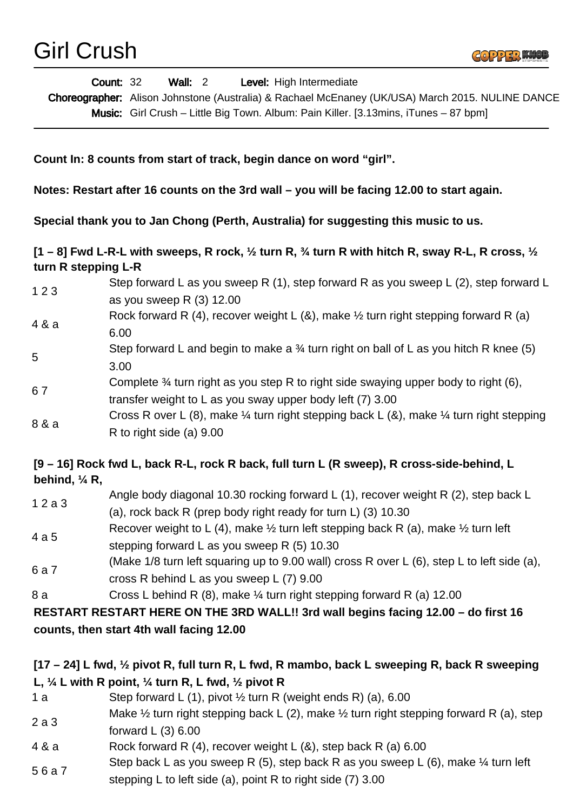

| <b>Count: 32</b> | <b>Wall:</b> 2 | <b>Level:</b> High Intermediate                                                                  |
|------------------|----------------|--------------------------------------------------------------------------------------------------|
|                  |                | Choreographer: Alison Johnstone (Australia) & Rachael McEnaney (UK/USA) March 2015. NULINE DANCE |
|                  |                | <b>Music:</b> Girl Crush – Little Big Town. Album: Pain Killer. [3.13mins, iTunes – 87 bpm]      |
|                  |                |                                                                                                  |

**Count In: 8 counts from start of track, begin dance on word "girl".** 

**Notes: Restart after 16 counts on the 3rd wall – you will be facing 12.00 to start again.**

**Special thank you to Jan Chong (Perth, Australia) for suggesting this music to us.**

**[1 – 8] Fwd L-R-L with sweeps, R rock, ½ turn R, ¾ turn R with hitch R, sway R-L, R cross, ½ turn R stepping L-R**

1 2 3 Step forward L as you sweep R (1), step forward R as you sweep L (2), step forward L as you sweep R (3) 12.00 4 & a Rock forward R (4), recover weight L (&), make  $\frac{1}{2}$  turn right stepping forward R (a) 6.00 5 Step forward L and begin to make a  $\frac{3}{4}$  turn right on ball of L as you hitch R knee (5) 3.00 6 7 Complete ¾ turn right as you step R to right side swaying upper body to right (6), transfer weight to L as you sway upper body left (7) 3.00 8 & a Cross R over L (8), make  $\frac{1}{4}$  turn right stepping back L (8), make  $\frac{1}{4}$  turn right stepping R to right side (a) 9.00

## **[9 – 16] Rock fwd L, back R-L, rock R back, full turn L (R sweep), R cross-side-behind, L behind, ¼ R,**

- 1 2 a 3 Angle body diagonal 10.30 rocking forward L (1), recover weight R (2), step back L (a), rock back R (prep body right ready for turn L) (3) 10.30 4 a 5 Recover weight to L (4), make  $\frac{1}{2}$  turn left stepping back R (a), make  $\frac{1}{2}$  turn left
- stepping forward L as you sweep R (5) 10.30 6 a 7 (Make 1/8 turn left squaring up to 9.00 wall) cross R over L (6), step L to left side (a),
- cross R behind L as you sweep L (7) 9.00 8 a Cross L behind R (8), make 1/4 turn right stepping forward R (a) 12.00

**RESTART RESTART HERE ON THE 3RD WALL!! 3rd wall begins facing 12.00 – do first 16 counts, then start 4th wall facing 12.00**

## **[17 – 24] L fwd, ½ pivot R, full turn R, L fwd, R mambo, back L sweeping R, back R sweeping L, ¼ L with R point, ¼ turn R, L fwd, ½ pivot R**

- 1 a Step forward L (1), pivot  $\frac{1}{2}$  turn R (weight ends R) (a), 6.00
- 2 a 3 Make  $\frac{1}{2}$  turn right stepping back L (2), make  $\frac{1}{2}$  turn right stepping forward R (a), step forward L (3) 6.00
- 4 & a Rock forward R (4), recover weight L (&), step back R (a) 6.00
- 5 6 a 7 Step back L as you sweep R (5), step back R as you sweep L (6), make  $\frac{1}{4}$  turn left
- stepping L to left side (a), point R to right side (7) 3.00